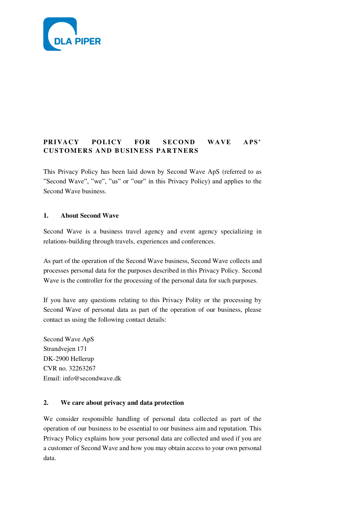

# **PRIVACY POLICY FOR SECOND WAVE APS' CUSTOMERS AND BUSINESS PARTNERS**

This Privacy Policy has been laid down by Second Wave ApS (referred to as "Second Wave", "we", "us" or "our" in this Privacy Policy) and applies to the Second Wave business.

# **1. About Second Wave**

Second Wave is a business travel agency and event agency specializing in relations-building through travels, experiences and conferences.

As part of the operation of the Second Wave business, Second Wave collects and processes personal data for the purposes described in this Privacy Policy. Second Wave is the controller for the processing of the personal data for such purposes.

If you have any questions relating to this Privacy Polity or the processing by Second Wave of personal data as part of the operation of our business, please contact us using the following contact details:

Second Wave ApS Strandvejen 171 DK-2900 Hellerup CVR no. 32263267 Email: info@secondwave.dk

# **2. We care about privacy and data protection**

We consider responsible handling of personal data collected as part of the operation of our business to be essential to our business aim and reputation. This Privacy Policy explains how your personal data are collected and used if you are a customer of Second Wave and how you may obtain access to your own personal data.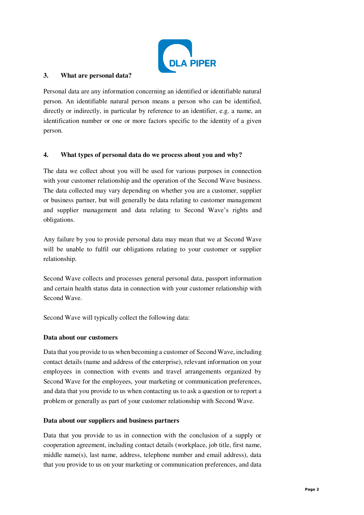

#### **3. What are personal data?**

Personal data are any information concerning an identified or identifiable natural person. An identifiable natural person means a person who can be identified, directly or indirectly, in particular by reference to an identifier, e.g. a name, an identification number or one or more factors specific to the identity of a given person.

#### **4. What types of personal data do we process about you and why?**

The data we collect about you will be used for various purposes in connection with your customer relationship and the operation of the Second Wave business. The data collected may vary depending on whether you are a customer, supplier or business partner, but will generally be data relating to customer management and supplier management and data relating to Second Wave's rights and obligations.

Any failure by you to provide personal data may mean that we at Second Wave will be unable to fulfil our obligations relating to your customer or supplier relationship.

Second Wave collects and processes general personal data, passport information and certain health status data in connection with your customer relationship with Second Wave.

Second Wave will typically collect the following data:

#### **Data about our customers**

Data that you provide to us when becoming a customer of Second Wave, including contact details (name and address of the enterprise), relevant information on your employees in connection with events and travel arrangements organized by Second Wave for the employees, your marketing or communication preferences, and data that you provide to us when contacting us to ask a question or to report a problem or generally as part of your customer relationship with Second Wave.

#### **Data about our suppliers and business partners**

Data that you provide to us in connection with the conclusion of a supply or cooperation agreement, including contact details (workplace, job title, first name, middle name(s), last name, address, telephone number and email address), data that you provide to us on your marketing or communication preferences, and data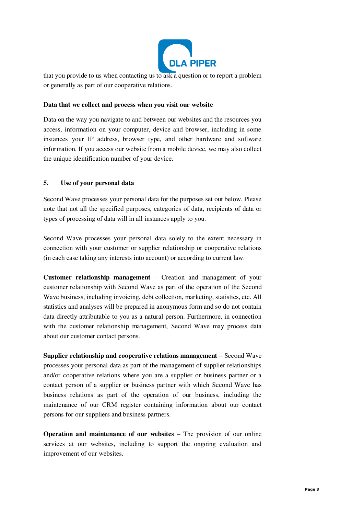

that you provide to us when contacting us to ask a question or to report a problem or generally as part of our cooperative relations.

### **Data that we collect and process when you visit our website**

Data on the way you navigate to and between our websites and the resources you access, information on your computer, device and browser, including in some instances your IP address, browser type, and other hardware and software information. If you access our website from a mobile device, we may also collect the unique identification number of your device.

### **5. Use of your personal data**

Second Wave processes your personal data for the purposes set out below. Please note that not all the specified purposes, categories of data, recipients of data or types of processing of data will in all instances apply to you.

Second Wave processes your personal data solely to the extent necessary in connection with your customer or supplier relationship or cooperative relations (in each case taking any interests into account) or according to current law.

**Customer relationship management** – Creation and management of your customer relationship with Second Wave as part of the operation of the Second Wave business, including invoicing, debt collection, marketing, statistics, etc. All statistics and analyses will be prepared in anonymous form and so do not contain data directly attributable to you as a natural person. Furthermore, in connection with the customer relationship management, Second Wave may process data about our customer contact persons.

**Supplier relationship and cooperative relations management** – Second Wave processes your personal data as part of the management of supplier relationships and/or cooperative relations where you are a supplier or business partner or a contact person of a supplier or business partner with which Second Wave has business relations as part of the operation of our business, including the maintenance of our CRM register containing information about our contact persons for our suppliers and business partners.

**Operation and maintenance of our websites** – The provision of our online services at our websites, including to support the ongoing evaluation and improvement of our websites.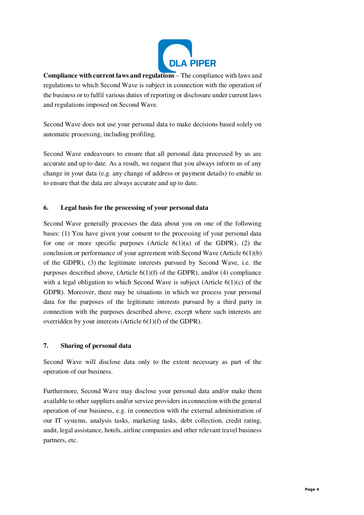

**Compliance with current laws and regulations** – The compliance with laws and regulations to which Second Wave is subject in connection with the operation of the business or to fulfil various duties of reporting or disclosure under current laws and regulations imposed on Second Wave.

Second Wave does not use your personal data to make decisions based solely on automatic processing, including profiling.

Second Wave endeavours to ensure that all personal data processed by us are accurate and up to date. As a result, we request that you always inform us of any change in your data (e.g. any change of address or payment details) to enable us to ensure that the data are always accurate and up to date.

# **6. Legal basis for the processing of your personal data**

Second Wave generally processes the data about you on one of the following bases: (1) You have given your consent to the processing of your personal data for one or more specific purposes (Article  $6(1)(a)$  of the GDPR), (2) the conclusion or performance of your agreement with Second Wave (Article  $6(1)(b)$ ) of the GDPR), (3) the legitimate interests pursued by Second Wave, i.e. the purposes described above, (Article 6(1)(f) of the GDPR), and/or (4) compliance with a legal obligation to which Second Wave is subject (Article  $6(1)(c)$  of the GDPR). Moreover, there may be situations in which we process your personal data for the purposes of the legitimate interests pursued by a third party in connection with the purposes described above, except where such interests are overridden by your interests (Article 6(1)(f) of the GDPR).

# **7. Sharing of personal data**

Second Wave will disclose data only to the extent necessary as part of the operation of our business.

Furthermore, Second Wave may disclose your personal data and/or make them available to other suppliers and/or service providers in connection with the general operation of our business, e.g. in connection with the external administration of our IT systems, analysis tasks, marketing tasks, debt collection, credit rating, audit, legal assistance, hotels, airline companies and other relevant travel business partners, etc.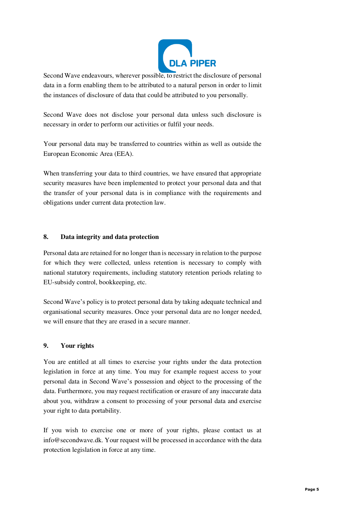

Second Wave endeavours, wherever possible, to restrict the disclosure of personal data in a form enabling them to be attributed to a natural person in order to limit the instances of disclosure of data that could be attributed to you personally.

Second Wave does not disclose your personal data unless such disclosure is necessary in order to perform our activities or fulfil your needs.

Your personal data may be transferred to countries within as well as outside the European Economic Area (EEA).

When transferring your data to third countries, we have ensured that appropriate security measures have been implemented to protect your personal data and that the transfer of your personal data is in compliance with the requirements and obligations under current data protection law.

# **8. Data integrity and data protection**

Personal data are retained for no longer than is necessary in relation to the purpose for which they were collected, unless retention is necessary to comply with national statutory requirements, including statutory retention periods relating to EU-subsidy control, bookkeeping, etc.

Second Wave's policy is to protect personal data by taking adequate technical and organisational security measures. Once your personal data are no longer needed, we will ensure that they are erased in a secure manner.

#### **9. Your rights**

You are entitled at all times to exercise your rights under the data protection legislation in force at any time. You may for example request access to your personal data in Second Wave's possession and object to the processing of the data. Furthermore, you may request rectification or erasure of any inaccurate data about you, withdraw a consent to processing of your personal data and exercise your right to data portability.

If you wish to exercise one or more of your rights, please contact us at info@secondwave.dk. Your request will be processed in accordance with the data protection legislation in force at any time.